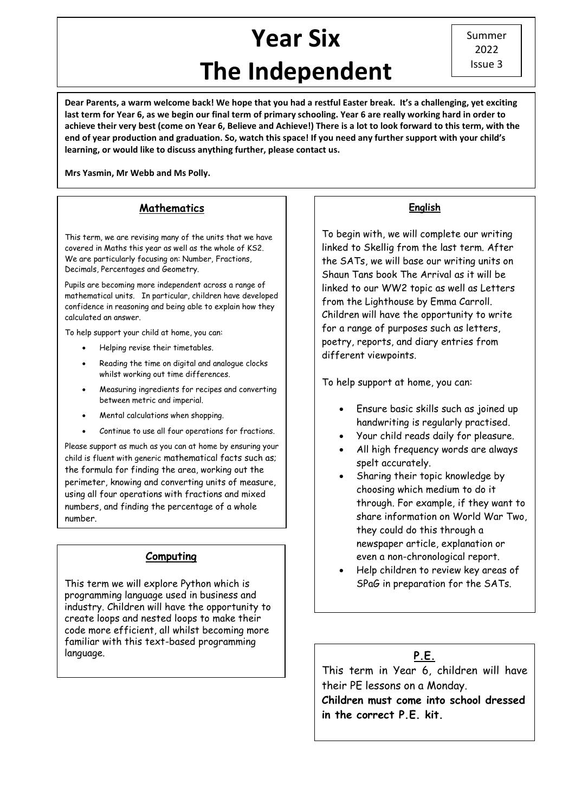# **Year Six The Independent**

**Dear Parents, a warm welcome back! We hope that you had a restful Easter break. It's a challenging, yet exciting last term for Year 6, as we begin our final term of primary schooling. Year 6 are really working hard in order to achieve their very best (come on Year 6, Believe and Achieve!) There is a lot to look forward to this term, with the end of year production and graduation. So, watch this space! If you need any further support with your child's learning, or would like to discuss anything further, please contact us.**

**Mrs Yasmin, Mr Webb and Ms Polly.** 

#### **Mathematics**

This term, we are revising many of the units that we have covered in Maths this year as well as the whole of KS2. We are particularly focusing on: Number, Fractions, Decimals, Percentages and Geometry.

Pupils are becoming more independent across a range of mathematical units. In particular, children have developed confidence in reasoning and being able to explain how they calculated an answer.

To help support your child at home, you can:

- Helping revise their timetables.
- Reading the time on digital and analogue clocks whilst working out time differences.
- Measuring ingredients for recipes and converting between metric and imperial.
- Mental calculations when shopping.
- Continue to use all four operations for fractions.

Please support as much as you can at home by ensuring your child is fluent with generic mathematical facts such as; the formula for finding the area, working out the perimeter, knowing and converting units of measure, using all four operations with fractions and mixed numbers, and finding the percentage of a whole number.

## **Computing**

This term we will explore Python which is programming language used in business and industry. Children will have the opportunity to create loops and nested loops to make their code more efficient, all whilst becoming more familiar with this text-based programming language.

#### **English**

To begin with, we will complete our writing linked to Skellig from the last term. After the SATs, we will base our writing units on Shaun Tans book The Arrival as it will be linked to our WW2 topic as well as Letters from the Lighthouse by Emma Carroll. Children will have the opportunity to write for a range of purposes such as letters, poetry, reports, and diary entries from different viewpoints.

To help support at home, you can:

- Ensure basic skills such as joined up handwriting is regularly practised.
- Your child reads daily for pleasure.
- All high frequency words are always spelt accurately.
- Sharing their topic knowledge by choosing which medium to do it through. For example, if they want to share information on World War Two, they could do this through a newspaper article, explanation or even a non-chronological report.
- Help children to review key areas of SPaG in preparation for the SATs.

## **P.E.**

l

This term in Year 6, children will have their PE lessons on a Monday.

**Children must come into school dressed in the correct P.E. kit.**